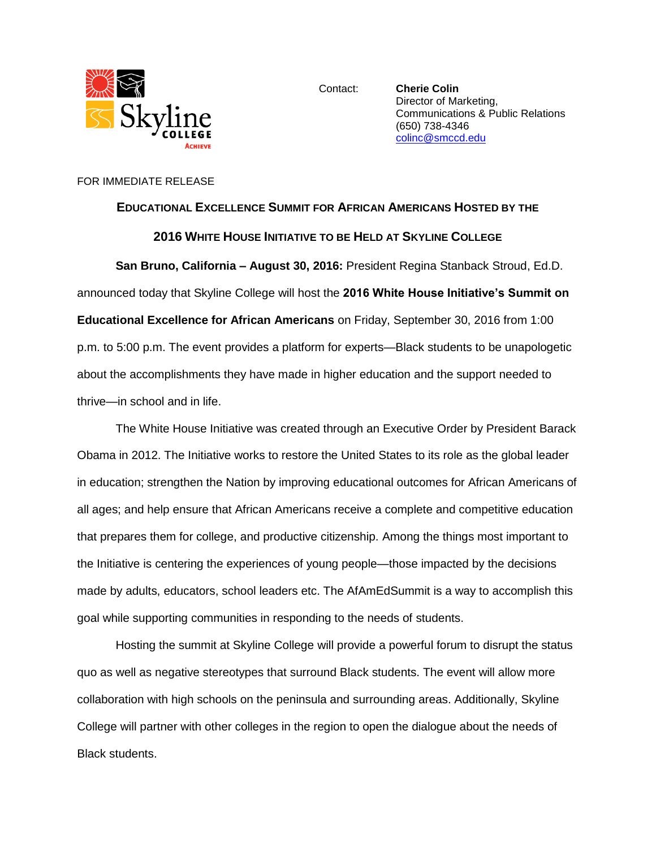

Contact: **Cherie Colin** Director of Marketing, Communications & Public Relations (650) 738-4346 [colinc@smccd.edu](mailto:colinc@smccd.edu)

## FOR IMMEDIATE RELEASE

## **EDUCATIONAL EXCELLENCE SUMMIT FOR AFRICAN AMERICANS HOSTED BY THE**

## **2016 WHITE HOUSE INITIATIVE TO BE HELD AT SKYLINE COLLEGE**

**San Bruno, California – August 30, 2016:** President Regina Stanback Stroud, Ed.D. announced today that Skyline College will host the **2016 White House Initiative's Summit on Educational Excellence for African Americans** on Friday, September 30, 2016 from 1:00 p.m. to 5:00 p.m. The event provides a platform for experts—Black students to be unapologetic about the accomplishments they have made in higher education and the support needed to thrive—in school and in life.

The White House Initiative was created through an Executive Order by President Barack Obama in 2012. The Initiative works to restore the United States to its role as the global leader in education; strengthen the Nation by improving educational outcomes for African Americans of all ages; and help ensure that African Americans receive a complete and competitive education that prepares them for college, and productive citizenship. Among the things most important to the Initiative is centering the experiences of young people—those impacted by the decisions made by adults, educators, school leaders etc. The AfAmEdSummit is a way to accomplish this goal while supporting communities in responding to the needs of students.

Hosting the summit at Skyline College will provide a powerful forum to disrupt the status quo as well as negative stereotypes that surround Black students. The event will allow more collaboration with high schools on the peninsula and surrounding areas. Additionally, Skyline College will partner with other colleges in the region to open the dialogue about the needs of Black students.